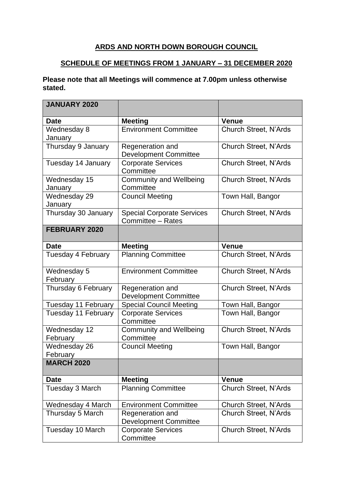## **ARDS AND NORTH DOWN BOROUGH COUNCIL**

## **SCHEDULE OF MEETINGS FROM 1 JANUARY – 31 DECEMBER 2020**

## **Please note that all Meetings will commence at 7.00pm unless otherwise stated.**

| <b>JANUARY 2020</b>      |                                                        |                              |
|--------------------------|--------------------------------------------------------|------------------------------|
| <b>Date</b>              | <b>Meeting</b>                                         | <b>Venue</b>                 |
| Wednesday 8<br>January   | <b>Environment Committee</b>                           | <b>Church Street, N'Ards</b> |
| Thursday 9 January       | Regeneration and<br><b>Development Committee</b>       | <b>Church Street, N'Ards</b> |
| Tuesday 14 January       | <b>Corporate Services</b><br>Committee                 | <b>Church Street, N'Ards</b> |
| Wednesday 15<br>January  | <b>Community and Wellbeing</b><br>Committee            | <b>Church Street, N'Ards</b> |
| Wednesday 29<br>January  | <b>Council Meeting</b>                                 | Town Hall, Bangor            |
| Thursday 30 January      | <b>Special Corporate Services</b><br>Committee - Rates | <b>Church Street, N'Ards</b> |
| <b>FEBRUARY 2020</b>     |                                                        |                              |
| <b>Date</b>              | <b>Meeting</b>                                         | <b>Venue</b>                 |
| Tuesday 4 February       | <b>Planning Committee</b>                              | <b>Church Street, N'Ards</b> |
| Wednesday 5<br>February  | <b>Environment Committee</b>                           | <b>Church Street, N'Ards</b> |
| Thursday 6 February      | Regeneration and<br><b>Development Committee</b>       | <b>Church Street, N'Ards</b> |
| Tuesday 11 February      | <b>Special Council Meeting</b>                         | Town Hall, Bangor            |
| Tuesday 11 February      | <b>Corporate Services</b><br>Committee                 | Town Hall, Bangor            |
| Wednesday 12<br>February | <b>Community and Wellbeing</b><br>Committee            | <b>Church Street, N'Ards</b> |
| Wednesday 26<br>February | <b>Council Meeting</b>                                 | Town Hall, Bangor            |
| <b>MARCH 2020</b>        |                                                        |                              |
| <b>Date</b>              | <b>Meeting</b>                                         | <b>Venue</b>                 |
| Tuesday 3 March          | <b>Planning Committee</b>                              | <b>Church Street, N'Ards</b> |
| Wednesday 4 March        | <b>Environment Committee</b>                           | <b>Church Street, N'Ards</b> |
| Thursday 5 March         | Regeneration and<br><b>Development Committee</b>       | <b>Church Street, N'Ards</b> |
| Tuesday 10 March         | <b>Corporate Services</b><br>Committee                 | <b>Church Street, N'Ards</b> |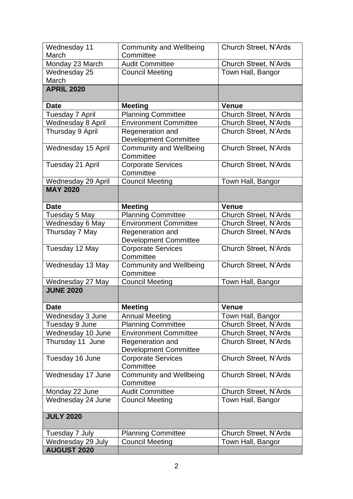| Wednesday 11             | <b>Community and Wellbeing</b>                            | <b>Church Street, N'Ards</b>                 |
|--------------------------|-----------------------------------------------------------|----------------------------------------------|
| March<br>Monday 23 March | Committee<br><b>Audit Committee</b>                       | <b>Church Street, N'Ards</b>                 |
| Wednesday 25             | <b>Council Meeting</b>                                    | Town Hall, Bangor                            |
| March                    |                                                           |                                              |
| <b>APRIL 2020</b>        |                                                           |                                              |
|                          |                                                           |                                              |
| <b>Date</b>              | <b>Meeting</b>                                            | <b>Venue</b><br><b>Church Street, N'Ards</b> |
| <b>Tuesday 7 April</b>   | <b>Planning Committee</b><br><b>Environment Committee</b> |                                              |
| Wednesday 8 April        |                                                           | <b>Church Street, N'Ards</b>                 |
| Thursday 9 April         | Regeneration and<br><b>Development Committee</b>          | Church Street, N'Ards                        |
| Wednesday 15 April       | <b>Community and Wellbeing</b><br>Committee               | <b>Church Street, N'Ards</b>                 |
| Tuesday 21 April         | <b>Corporate Services</b><br>Committee                    | <b>Church Street, N'Ards</b>                 |
| Wednesday 29 April       | <b>Council Meeting</b>                                    | Town Hall, Bangor                            |
| <b>MAY 2020</b>          |                                                           |                                              |
| <b>Date</b>              | <b>Meeting</b>                                            | <b>Venue</b>                                 |
| Tuesday 5 May            | <b>Planning Committee</b>                                 | Church Street, N'Ards                        |
| Wednesday 6 May          | <b>Environment Committee</b>                              | <b>Church Street, N'Ards</b>                 |
| Thursday 7 May           | Regeneration and<br><b>Development Committee</b>          | <b>Church Street, N'Ards</b>                 |
| Tuesday 12 May           | <b>Corporate Services</b><br>Committee                    | <b>Church Street, N'Ards</b>                 |
| Wednesday 13 May         | <b>Community and Wellbeing</b><br>Committee               | <b>Church Street, N'Ards</b>                 |
| Wednesday 27 May         | <b>Council Meeting</b>                                    | Town Hall, Bangor                            |
| <b>JUNE 2020</b>         |                                                           |                                              |
| <b>Date</b>              | <b>Meeting</b>                                            | <b>Venue</b>                                 |
| Wednesday 3 June         | Annual Meeting                                            | Town Hall, Bangor                            |
| Tuesday 9 June           | <b>Planning Committee</b>                                 | <b>Church Street, N'Ards</b>                 |
| Wednesday 10 June        | <b>Environment Committee</b>                              | Church Street, N'Ards                        |
| Thursday 11 June         | Regeneration and<br><b>Development Committee</b>          | Church Street, N'Ards                        |
| Tuesday 16 June          | <b>Corporate Services</b><br>Committee                    | <b>Church Street, N'Ards</b>                 |
| Wednesday 17 June        | <b>Community and Wellbeing</b><br>Committee               | Church Street, N'Ards                        |
| Monday 22 June           | <b>Audit Committee</b>                                    | <b>Church Street, N'Ards</b>                 |
| Wednesday 24 June        | <b>Council Meeting</b>                                    | Town Hall, Bangor                            |
| <b>JULY 2020</b>         |                                                           |                                              |
| Tuesday 7 July           | <b>Planning Committee</b>                                 | Church Street, N'Ards                        |
| Wednesday 29 July        | <b>Council Meeting</b>                                    | Town Hall, Bangor                            |
| <b>AUGUST 2020</b>       |                                                           |                                              |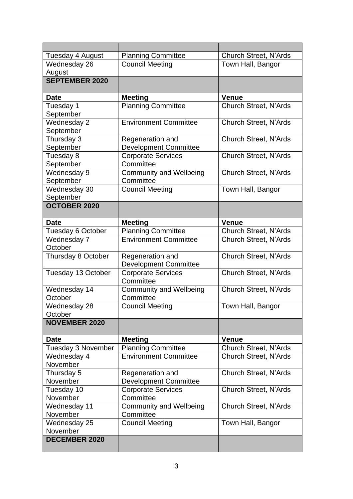| Tuesday 4 August          | <b>Planning Committee</b>      | <b>Church Street, N'Ards</b> |
|---------------------------|--------------------------------|------------------------------|
| Wednesday 26              | <b>Council Meeting</b>         | Town Hall, Bangor            |
| August                    |                                |                              |
| <b>SEPTEMBER 2020</b>     |                                |                              |
| <b>Date</b>               | <b>Meeting</b>                 | <b>Venue</b>                 |
| Tuesday 1                 | <b>Planning Committee</b>      | <b>Church Street, N'Ards</b> |
| September                 |                                |                              |
| Wednesday 2               | <b>Environment Committee</b>   | <b>Church Street, N'Ards</b> |
| September                 |                                |                              |
| Thursday 3                | Regeneration and               | <b>Church Street, N'Ards</b> |
| September                 | <b>Development Committee</b>   |                              |
| Tuesday 8                 | <b>Corporate Services</b>      | <b>Church Street, N'Ards</b> |
| September                 | Committee                      |                              |
| Wednesday 9               | Community and Wellbeing        | <b>Church Street, N'Ards</b> |
| September                 | Committee                      |                              |
| Wednesday 30<br>September | <b>Council Meeting</b>         | Town Hall, Bangor            |
| <b>OCTOBER 2020</b>       |                                |                              |
|                           |                                |                              |
| <b>Date</b>               | <b>Meeting</b>                 | <b>Venue</b>                 |
| Tuesday 6 October         | <b>Planning Committee</b>      | <b>Church Street, N'Ards</b> |
| Wednesday 7               | <b>Environment Committee</b>   | Church Street, N'Ards        |
| October                   |                                |                              |
| Thursday 8 October        | Regeneration and               | <b>Church Street, N'Ards</b> |
|                           | <b>Development Committee</b>   |                              |
| Tuesday 13 October        | <b>Corporate Services</b>      | <b>Church Street, N'Ards</b> |
|                           | Committee                      |                              |
| Wednesday 14              | <b>Community and Wellbeing</b> | Church Street, N'Ards        |
| October                   | Committee                      |                              |
| Wednesday 28<br>October   | <b>Council Meeting</b>         | Town Hall, Bangor            |
| <b>NOVEMBER 2020</b>      |                                |                              |
|                           |                                |                              |
| <b>Date</b>               | <b>Meeting</b>                 | <b>Venue</b>                 |
| Tuesday 3 November        | <b>Planning Committee</b>      | <b>Church Street, N'Ards</b> |
| Wednesday 4               | <b>Environment Committee</b>   | Church Street, N'Ards        |
| November                  |                                |                              |
| Thursday 5                | Regeneration and               | <b>Church Street, N'Ards</b> |
| November                  | <b>Development Committee</b>   |                              |
| Tuesday 10                | <b>Corporate Services</b>      | Church Street, N'Ards        |
| November                  | Committee                      |                              |
| Wednesday 11              | <b>Community and Wellbeing</b> | Church Street, N'Ards        |
| November                  | Committee                      |                              |
| Wednesday 25<br>November  | <b>Council Meeting</b>         | Town Hall, Bangor            |
| <b>DECEMBER 2020</b>      |                                |                              |
|                           |                                |                              |